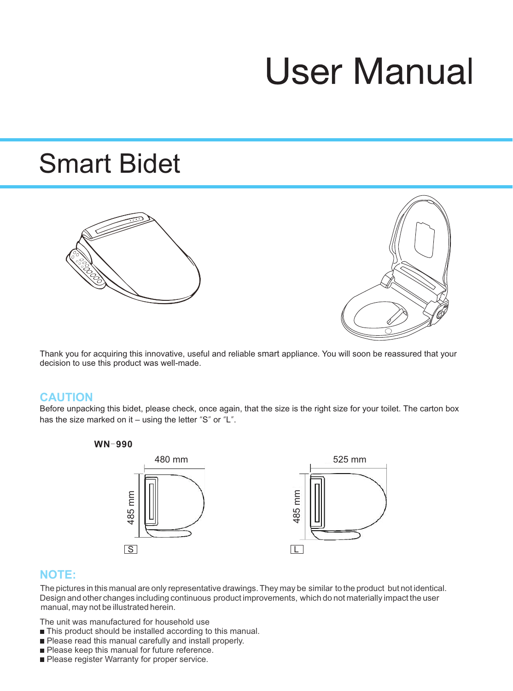# **User Manual**

# Smart Bidet





Thank you for acquiring this innovative, useful and reliable smart appliance. You will soon be reassured that your decision to use this product was well-made.

#### **CAUTION**

Before unpacking this bidet, please check, once again, that the size is the right size for your toilet. The carton box has the size marked on it – using the letter "S" or "L".





#### **NOTE:**

The pictures in this manual are only representative drawings. They may be similar to the product but not identical. Design and other changes including continuous product improvements, which do not materially impact the user manual, may not be illustrated herein.

The unit was manufactured for household use

- This product should be installed according to this manual.
- Please read this manual carefully and install properly.
- Please keep this manual for future reference.<br>■ Please register Warranty for proper service.
-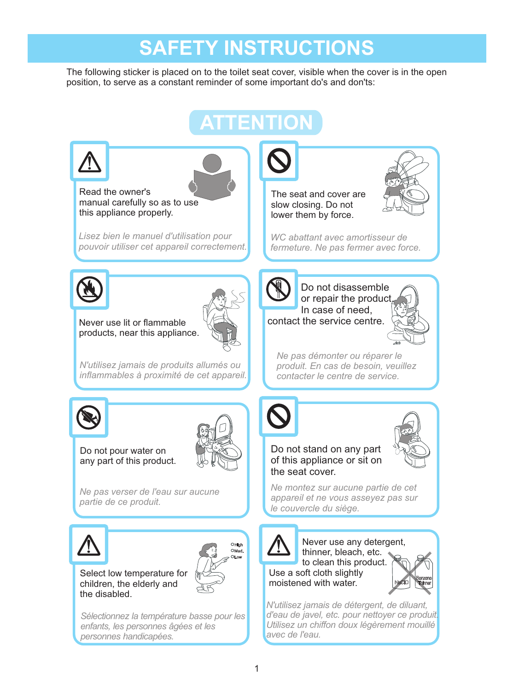# **SAFETY INSTRUCTIONS**

The following sticker is placed on to the toilet seat cover, visible when the cover is in the open position, to serve as a constant reminder of some important do's and don'ts:

# **ATTENTION**



*personnes handicapées.*

*avec de l'eau.*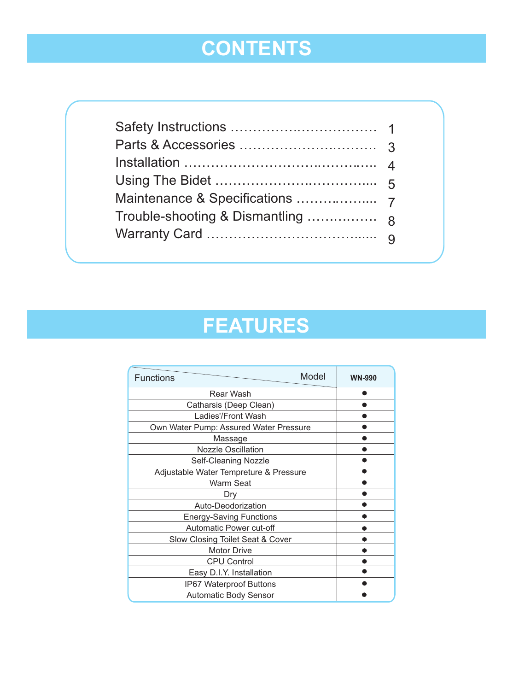# **CONTENTS**

# **FEATURES**

| Model<br><b>Functions</b>              | <b>WN-990</b> |
|----------------------------------------|---------------|
| Rear Wash                              |               |
| Catharsis (Deep Clean)                 |               |
| Ladies'/Front Wash                     |               |
| Own Water Pump: Assured Water Pressure |               |
| Massage                                |               |
| <b>Nozzle Oscillation</b>              |               |
| Self-Cleaning Nozzle                   |               |
| Adjustable Water Tempreture & Pressure |               |
| Warm Seat                              |               |
| Dry                                    |               |
| Auto-Deodorization                     |               |
| <b>Energy-Saving Functions</b>         |               |
| Automatic Power cut-off                |               |
| Slow Closing Toilet Seat & Cover       |               |
| <b>Motor Drive</b>                     |               |
| <b>CPU Control</b>                     |               |
| Easy D.I.Y. Installation               |               |
| <b>IP67 Waterproof Buttons</b>         |               |
| <b>Automatic Body Sensor</b>           |               |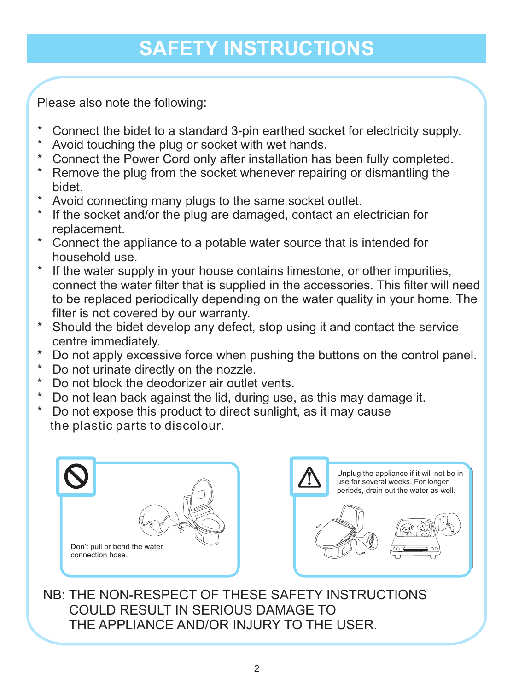# **SAFETY INSTRUCTIONS**

Please also note the following:

- \* Connect the bidet to a standard 3-pin earthed socket for electricity supply.<br>\* Avoid to ushing the plug or socket with wet bands
- Avoid touching the plug or socket with wet hands.
- \* Connect the Power Cord only after installation has been fully completed.<br>\* Remove the plug from the socket whenever repairing or dismontling the
- Remove the plug from the socket whenever repairing or dismantling the bidet.
- \* Avoid connecting many plugs to the same socket outlet.<br>\* If the socket and/or the plug are damaged, contact an el
- If the socket and/or the plug are damaged, contact an electrician for replacement.
- \* Connect the appliance to a potable water source that is intended for household use.
- \* If the water supply in your house contains limestone, or other impurities, connect the water filter that is supplied in the accessories. This filter will need to be replaced periodically depending on the water quality in your home. The filter is not covered by our warranty.
- \* Should the bidet develop any defect, stop using it and contact the service centre immediately.
- \* Do not apply excessive force when pushing the buttons on the control panel.<br>\* De pot urinate directly on the pozzlo
- \* Do not urinate directly on the nozzle.<br>\* De pot block the deederizer air outlet
- Do not block the deodorizer air outlet vents.
- \* Do not lean back against the lid, during use, as this may damage it.
- \* Do not expose this product to direct sunlight, as it may cause the plastic parts to discolour.





NB: THE NON-RESPECT OF THESE SAFETY INSTRUCTIONS COULD RESULT IN SERIOUS DAMAGE TO THE APPLIANCE AND/OR INJURY TO THE USER.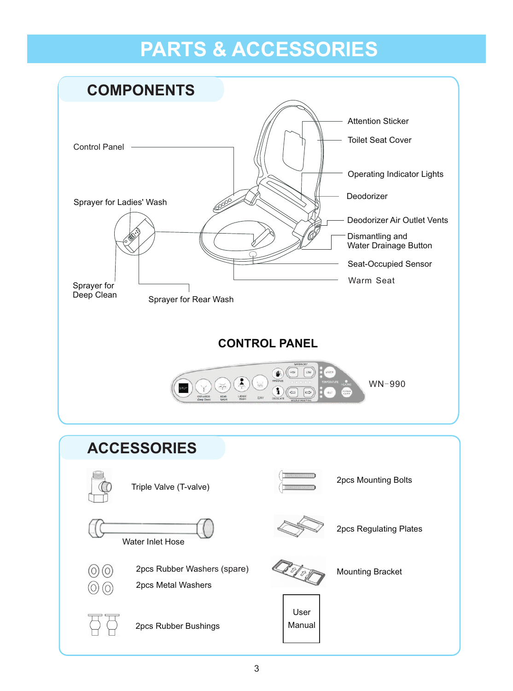# **PARTS & ACCESSORIES**

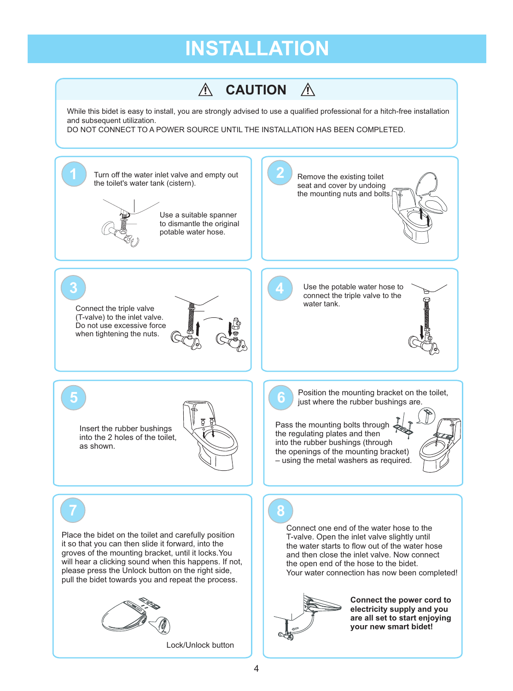# **INSTALLATION**

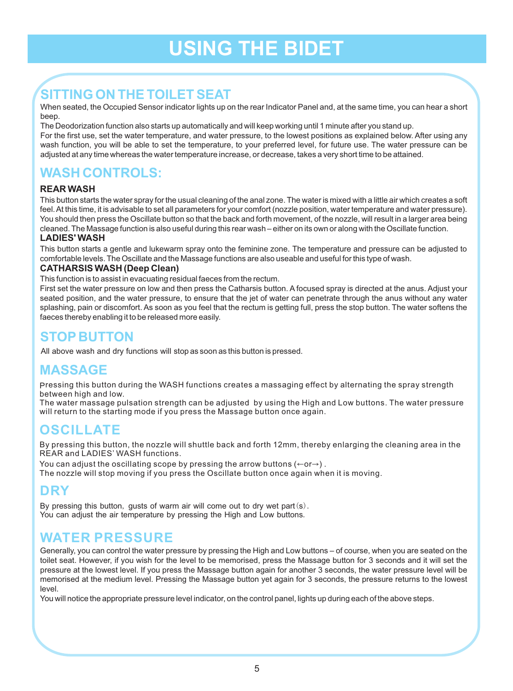# **USING THE BIDET**

### **SITTING ON THE TOILET SEAT**

When seated, the Occupied Sensor indicator lights up on the rear Indicator Panel and, at the same time, you can hear a short beep.

The Deodorization function also starts up automatically and will keep working until 1 minute after you stand up.

For the first use, set the water temperature, and water pressure, to the lowest positions as explained below. After using any wash function, you will be able to set the temperature, to your preferred level, for future use. The water pressure can be adjusted at any time whereas the water temperature increase, or decrease, takes a very short time to be attained.

#### **WASH CONTROLS:**

#### **REAR WASH**

This button starts the water spray for the usual cleaning of the anal zone. The water is mixed with a little air which creates a soft feel. At this time, it is advisable to set all parameters for your comfort (nozzle position, water temperature and water pressure). You should then press the Oscillate button so that the back and forth movement, of the nozzle, will result in a larger area being cleaned. The Massage function is also useful during this rear wash – either on its own or along with the Oscillate function.

#### **LADIES' WASH**

This button starts a gentle and lukewarm spray onto the feminine zone. The temperature and pressure can be adjusted to comfortable levels. The Oscillate and the Massage functions are also useable and useful for this type of wash.

#### **CATHARSIS WASH (Deep Clean)**

This function is to assist in evacuating residual faeces from the rectum.

First set the water pressure on low and then press the Catharsis button. A focused spray is directed at the anus. Adjust your seated position, and the water pressure, to ensure that the jet of water can penetrate through the anus without any water splashing, pain or discomfort. As soon as you feel that the rectum is getting full, press the stop button. The water softens the faeces thereby enabling it to be released more easily.

#### **STOP BUTTON**

All above wash and dry functions will stop as soon as this button is pressed.

#### **MASSAGE**

Pressing this button during the WASH functions creates a massaging effect by alternating the spray strength between high and low.

The water massage pulsation strength can be adjusted by using the High and Low buttons. The water pressure will return to the starting mode if you press the Massage button once again.

#### **OSCILLATE**

By pressing this button, the nozzle will shuttle back and forth 12mm, thereby enlarging the cleaning area in the REAR and LADIES' WASH functions.

You can adjust the oscillating scope by pressing the arrow buttons ( $\leftarrow$ or $\rightarrow$ ) .

The nozzle will stop moving if you press the Oscillate button once again when it is moving.

#### **DRY**

By pressing this button, gusts of warm air will come out to dry wet part(s). You can adjust the air temperature by pressing the High and Low buttons.

#### **WATER PRESSURE**

Generally, you can control the water pressure by pressing the High and Low buttons – of course, when you are seated on the toilet seat. However, if you wish for the level to be memorised, press the Massage button for 3 seconds and it will set the pressure at the lowest level. If you press the Massage button again for another 3 seconds, the water pressure level will be memorised at the medium level. Pressing the Massage button yet again for 3 seconds, the pressure returns to the lowest level.

You will notice the appropriate pressure level indicator, on the control panel, lights up during each of the above steps.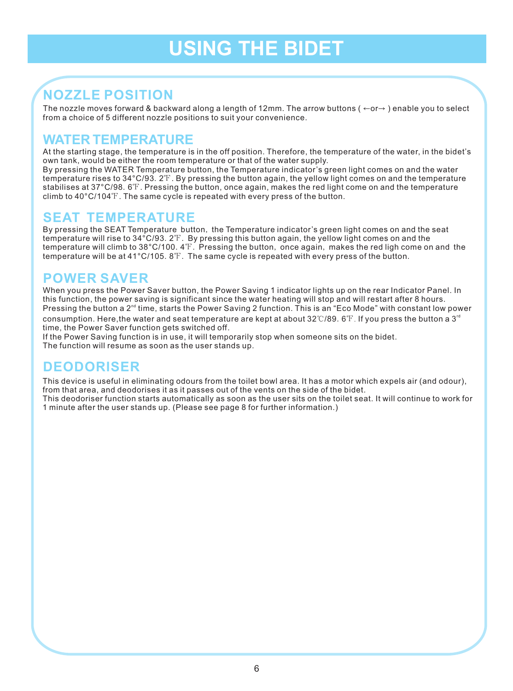# **USING THE BIDET**

#### **NOZZLE POSITION**

The nozzle moves forward & backward along a length of 12mm. The arrow buttons ( ←or→ ) enable you to select from a choice of 5 different nozzle positions to suit your convenience.

#### **WATER TEMPERATURE**

At the starting stage, the temperature is in the off position. Therefore, the temperature of the water, in the bidet's own tank, would be either the room temperature or that of the water supply.

By pressing the WATER Temperature button, the Temperature indicator's green light comes on and the water temperature rises to 34°C/93. 2 $^{\circ}\!$  . By pressing the button again, the yellow light comes on and the temperature stabilises at 37°C/98.6℉. Pressing the button, once again, makes the red light come on and the temperature climb to 40°C/104℉. The same cycle is repeated with every press of the button.

#### **SEAT TEMPERATURE**

By pressing the SEAT Temperature button, the Temperature indicator's green light comes on and the seat temperature will rise to 34°C/93.2℉. By pressing this button again, the yellow light comes on and the temperature will climb to 38°C/100.4℉. Pressing the button, once again, makes the red ligh come on and the temperature will be at 41°C/105.8℉. The same cycle is repeated with every press of the button.

#### **POWER SAVER**

When you press the Power Saver button, the Power Saving 1 indicator lights up on the rear Indicator Panel. In this function, the power saving is significant since the water heating will stop and will restart after 8 hours. Pressing the button a 2<sup><sup>nd</sup> time, starts the Power Saving 2 function. This is an "Eco Mode" with constant low power</sup> consumption. Here,the water and seat temperature are kept at about 32℃/89. 6℉. If you press the button a 3" time, the Power Saver function gets switched off.

If the Power Saving function is in use, it will temporarily stop when someone sits on the bidet. The function will resume as soon as the user stands up.

#### **DEODORISER**

This device is useful in eliminating odours from the toilet bowl area. It has a motor which expels air (and odour), from that area, and deodorises it as it passes out of the vents on the side of the bidet. This deodoriser function starts automatically as soon as the user sits on the toilet seat. It will continue to work for 1 minute after the user stands up. (Please see page 8 for further information.)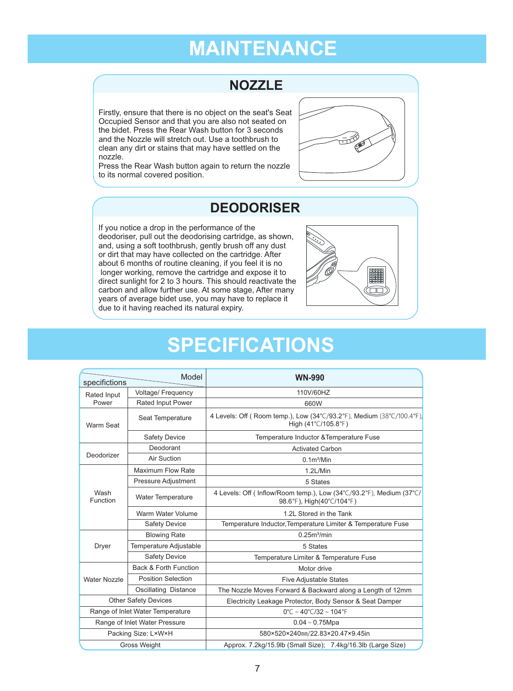### **MAINTENANCE**

#### **NOZZLE**

Firstly, ensure that there is no object on the seat's Seat Occupied Sensor and that you are also not seated on the bidet. Press the Rear Wash button for 3 seconds and the Nozzle will stretch out. Use a toothbrush to clean any dirt or stains that may have settled on the nozzle.

Press the Rear Wash button again to return the nozzle to its normal covered position.



#### **DEODORISER**

If you notice a drop in the performance of the deodoriser, pull out the deodorising cartridge, as shown, and, using a soft toothbrush, gently brush off any dust or dirt that may have collected on the cartridge. After about 6 months of routine cleaning, if you feel it is no longer working, remove the cartridge and expose it to direct sunlight for 2 to 3 hours. This should reactivate the carbon and allow further use. At some stage, After many years of average bidet use, you may have to replace it due to it having reached its natural expiry.



### **SPECIFICATIONS**

| Model<br>specifictions           |                               | <b>WN-990</b>                                                                                     |
|----------------------------------|-------------------------------|---------------------------------------------------------------------------------------------------|
| Rated Input                      | Voltage/ Frequency            | 110V/60HZ                                                                                         |
| Power                            | <b>Rated Input Power</b>      | 660W                                                                                              |
| Warm Seat                        | Seat Temperature              | 4 Levels: Off (Room temp.), Low (34°C/93.2°F), Medium (38°C/100.4°F),<br>High (41°C/105.8°F)      |
|                                  | <b>Safety Device</b>          | Temperature Inductor & Temperature Fuse                                                           |
|                                  | Deodorant                     | <b>Activated Carbon</b>                                                                           |
| Deodorizer                       | Air Suction                   | 0.1 <sup>m3</sup> /Min                                                                            |
| Wash<br>Function                 | <b>Maximum Flow Rate</b>      | 1.2L/Min                                                                                          |
|                                  | Pressure Adjustment           | 5 States                                                                                          |
|                                  | Water Temperature             | 4 Levels: Off ( Inflow/Room temp.), Low (34°C/93.2°F), Medium (37°C/<br>98.6°F), High(40°C/104°F) |
|                                  | Warm Water Volume             | 1.2L Stored in the Tank                                                                           |
|                                  | <b>Safety Device</b>          | Temperature Inductor, Temperature Limiter & Temperature Fuse                                      |
|                                  | <b>Blowing Rate</b>           | 0.25m <sup>3</sup> /min                                                                           |
| Dryer                            | Temperature Adjustable        | 5 States                                                                                          |
|                                  | <b>Safety Device</b>          | Temperature Limiter & Temperature Fuse                                                            |
|                                  | Back & Forth Function         | Motor drive                                                                                       |
| <b>Water Nozzle</b>              | <b>Position Selection</b>     | <b>Five Adjustable States</b>                                                                     |
|                                  | Oscillating Distance          | The Nozzle Moves Forward & Backward along a Length of 12mm                                        |
| <b>Other Safety Devices</b>      |                               | Electricity Leakage Protector, Body Sensor & Seat Damper                                          |
| Range of Inlet Water Temperature |                               | $0^{\circ}$ C ~ 40°C/32 ~ 104°F                                                                   |
|                                  | Range of Inlet Water Pressure | $0.04 \sim 0.75$ Mpa                                                                              |
|                                  | Packing Size: LxWxH           | 580×520×240mm/22.83×20.47×9.45in                                                                  |
|                                  | <b>Gross Weight</b>           | Approx. 7.2kg/15.9lb (Small Size); 7.4kg/16.3lb (Large Size)                                      |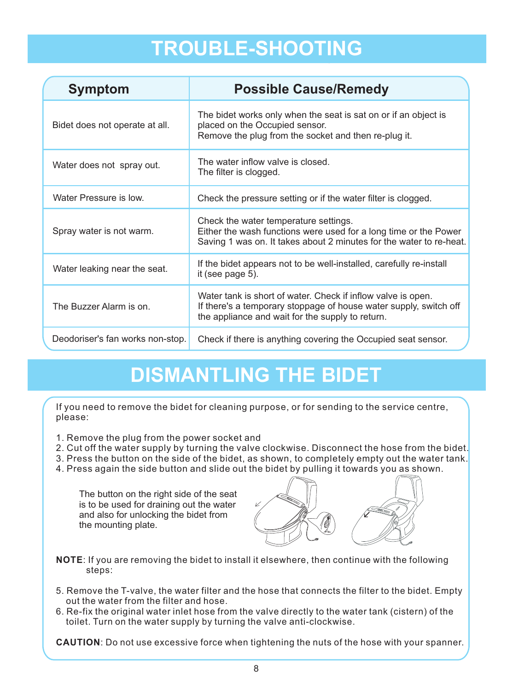#### Before requesting repairs, please check the following as you may be able to solve the problem yourself. **However, including remains unresolved, please contact your local service contact your local service contact your local service contact your local service contact your local service contact your local service centre. In th**

| <b>Symptom</b>                   | <b>Possible Cause/Remedy</b>                                                                                                                                                          |
|----------------------------------|---------------------------------------------------------------------------------------------------------------------------------------------------------------------------------------|
| Bidet does not operate at all.   | The bidet works only when the seat is sat on or if an object is<br>placed on the Occupied sensor.<br>Remove the plug from the socket and then re-plug it.                             |
| Water does not spray out.        | The water inflow valve is closed.<br>The filter is clogged.                                                                                                                           |
| Water Pressure is low.           | Check the pressure setting or if the water filter is clogged.                                                                                                                         |
| Spray water is not warm.         | Check the water temperature settings.<br>Either the wash functions were used for a long time or the Power<br>Saving 1 was on. It takes about 2 minutes for the water to re-heat.      |
| Water leaking near the seat.     | If the bidet appears not to be well-installed, carefully re-install<br>it (see page 5).                                                                                               |
| The Buzzer Alarm is on.          | Water tank is short of water. Check if inflow valve is open.<br>If there's a temporary stoppage of house water supply, switch off<br>the appliance and wait for the supply to return. |
| Deodoriser's fan works non-stop. | Check if there is anything covering the Occupied seat sensor.                                                                                                                         |

# **DISMANTLING THE BIDET**

If you need to remove the bidet for cleaning purpose, or for sending to the service centre, please:

- 1. Remove the plug from the power socket and
- 2. Cut off the water supply by turning the valve clockwise. Disconnect the hose from the bidet.
- 3. Press the button on the side of the bidet, as shown, to completely empty out the water tank.
- 4. Press again the side button and slide out the bidet by pulling it towards you as shown.

The button on the right side of the seat is to be used for draining out the water and also for unlocking the bidet from the mounting plate.



- **NOTE**: If you are removing the bidet to install it elsewhere, then continue with the following steps:
- 5. Remove the T-valve, the water filter and the hose that connects the filter to the bidet. Empty out the water from the filter and hose.
- 6. Re-fix the original water inlet hose from the valve directly to the water tank (cistern) of the toilet. Turn on the water supply by turning the valve anti-clockwise.

**CAUTION**: Do not use excessive force when tightening the nuts of the hose with your spanner.